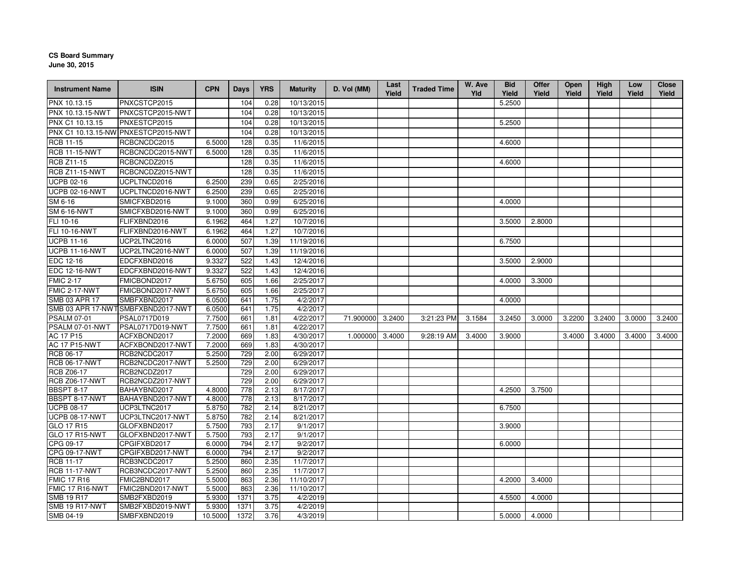## **CS Board Summary**

**June 30, 2015**

| <b>Instrument Name</b>                     | <b>ISIN</b>                         | <b>CPN</b>       | <b>Days</b> | <b>YRS</b>   | <b>Maturity</b>        | D. Vol (MM)      | Last<br>Yield | <b>Traded Time</b> | W. Ave<br>Yld | <b>Bid</b><br>Yield | Offer<br>Yield | <b>Open</b><br>Yield | High<br>Yield | Low<br>Yield | <b>Close</b><br>Yield |
|--------------------------------------------|-------------------------------------|------------------|-------------|--------------|------------------------|------------------|---------------|--------------------|---------------|---------------------|----------------|----------------------|---------------|--------------|-----------------------|
| PNX 10.13.15                               | PNXCSTCP2015                        |                  | 104         | 0.28         | 10/13/2015             |                  |               |                    |               | 5.2500              |                |                      |               |              |                       |
| PNX 10.13.15-NWT                           | PNXCSTCP2015-NWT                    |                  | 104         | 0.28         | 10/13/2015             |                  |               |                    |               |                     |                |                      |               |              |                       |
| PNX C1 10.13.15                            | PNXESTCP2015                        |                  | 104         | 0.28         | 10/13/2015             |                  |               |                    |               | 5.2500              |                |                      |               |              |                       |
|                                            | PNX C1 10.13.15-NW PNXESTCP2015-NWT |                  | 104         | 0.28         | 10/13/2015             |                  |               |                    |               |                     |                |                      |               |              |                       |
| <b>RCB 11-15</b>                           | RCBCNCDC2015                        | 6.5000           | 128         | 0.35         | 11/6/2015              |                  |               |                    |               | 4.6000              |                |                      |               |              |                       |
| <b>RCB 11-15-NWT</b>                       | RCBCNCDC2015-NWT                    | 6.5000           | 128         | 0.35         | 11/6/2015              |                  |               |                    |               |                     |                |                      |               |              |                       |
| <b>RCB Z11-15</b>                          | RCBCNCDZ2015                        |                  | 128         | 0.35         | 11/6/2015              |                  |               |                    |               | 4.6000              |                |                      |               |              |                       |
| <b>RCB Z11-15-NWT</b>                      | RCBCNCDZ2015-NWT                    |                  | 128         | 0.35         | 11/6/2015              |                  |               |                    |               |                     |                |                      |               |              |                       |
| <b>UCPB 02-16</b>                          | UCPLTNCD2016                        | 6.2500           | 239         | 0.65         | 2/25/2016              |                  |               |                    |               |                     |                |                      |               |              |                       |
| <b>UCPB 02-16-NWT</b>                      | UCPLTNCD2016-NWT                    | 6.2500           | 239         | 0.65         | 2/25/2016              |                  |               |                    |               |                     |                |                      |               |              |                       |
| SM 6-16                                    | SMICFXBD2016                        | 9.1000           | 360         | 0.99         | 6/25/2016              |                  |               |                    |               | 4.0000              |                |                      |               |              |                       |
| <b>SM 6-16-NWT</b>                         | SMICFXBD2016-NWT                    | 9.1000           | 360         | 0.99         | 6/25/2016              |                  |               |                    |               |                     |                |                      |               |              |                       |
| FLI 10-16                                  | FLIFXBND2016                        | 6.1962           | 464         | 1.27         | 10/7/2016              |                  |               |                    |               | 3.5000              | 2.8000         |                      |               |              |                       |
| FLI 10-16-NWT                              | FLIFXBND2016-NWT                    | 6.1962           | 464         | 1.27         | 10/7/2016              |                  |               |                    |               |                     |                |                      |               |              |                       |
| <b>UCPB 11-16</b>                          | UCP2LTNC2016                        | 6.0000           | 507         | 1.39         | 11/19/2016             |                  |               |                    |               | 6.7500              |                |                      |               |              |                       |
| <b>UCPB 11-16-NWT</b>                      | UCP2LTNC2016-NWT                    | 6.0000           | 507         | 1.39         | 11/19/2016             |                  |               |                    |               |                     |                |                      |               |              |                       |
| EDC 12-16                                  | EDCFXBND2016                        | 9.3327           | 522         | 1.43         | 12/4/2016              |                  |               |                    |               | 3.5000              | 2.9000         |                      |               |              |                       |
| <b>EDC 12-16-NWT</b>                       | EDCFXBND2016-NWT                    | 9.3327           | 522         | 1.43         | 12/4/2016              |                  |               |                    |               |                     |                |                      |               |              |                       |
| <b>FMIC 2-17</b>                           | FMICBOND2017                        | 5.6750           | 605         | 1.66         | 2/25/2017              |                  |               |                    |               | 4.0000              | 3.3000         |                      |               |              |                       |
| FMIC 2-17-NWT                              | FMICBOND2017-NWT                    | 5.6750           | 605         | 1.66         | 2/25/2017              |                  |               |                    |               |                     |                |                      |               |              |                       |
| SMB 03 APR 17                              | SMBFXBND2017                        | 6.0500           | 641         | 1.75         | 4/2/2017               |                  |               |                    |               | 4.0000              |                |                      |               |              |                       |
|                                            | SMB 03 APR 17-NWTSMBFXBND2017-NWT   | 6.0500           | 641         | 1.75         | 4/2/2017               |                  |               |                    |               |                     |                |                      |               |              |                       |
| <b>PSALM 07-01</b>                         | PSAL0717D019                        | 7.7500           | 661         | 1.81         | 4/22/2017              | 71.900000 3.2400 |               | 3:21:23 PM         | 3.1584        | 3.2450              | 3.0000         | 3.2200               | 3.2400        | 3.0000       | 3.2400                |
| PSALM 07-01-NWT                            | PSAL0717D019-NWT                    | 7.7500           | 661         | 1.81         | 4/22/2017              |                  |               |                    |               |                     |                |                      |               |              |                       |
| AC 17 P15                                  | ACFXBOND2017                        | 7.2000           | 669         | 1.83         | 4/30/2017              | 1.000000 3.4000  |               | 9:28:19 AM         | 3.4000        | 3.9000              |                | 3.4000               | 3.4000        | 3.4000       | 3.4000                |
| <b>AC 17 P15-NWT</b>                       | ACFXBOND2017-NWT                    | 7.2000           | 669         | 1.83         | 4/30/2017              |                  |               |                    |               |                     |                |                      |               |              |                       |
| RCB 06-17                                  | RCB2NCDC2017                        | 5.2500           | 729         | 2.00         | 6/29/2017              |                  |               |                    |               |                     |                |                      |               |              |                       |
| <b>RCB 06-17-NWT</b>                       | RCB2NCDC2017-NWT                    | 5.2500           | 729         | 2.00         | 6/29/2017              |                  |               |                    |               |                     |                |                      |               |              |                       |
| <b>RCB Z06-17</b>                          | RCB2NCDZ2017                        |                  | 729         | 2.00         | 6/29/2017              |                  |               |                    |               |                     |                |                      |               |              |                       |
| RCB Z06-17-NWT                             | RCB2NCDZ2017-NWT                    |                  | 729         | 2.00         | 6/29/2017              |                  |               |                    |               |                     |                |                      |               |              |                       |
| BBSPT 8-17                                 | BAHAYBND2017                        | 4.8000           | 778         | 2.13         | 8/17/2017              |                  |               |                    |               | 4.2500              | 3.7500         |                      |               |              |                       |
| BBSPT 8-17-NWT                             | BAHAYBND2017-NWT                    | 4.8000           | 778         | 2.13<br>2.14 | 8/17/2017              |                  |               |                    |               |                     |                |                      |               |              |                       |
| <b>UCPB 08-17</b><br><b>UCPB 08-17-NWT</b> | UCP3LTNC2017<br>UCP3LTNC2017-NWT    | 5.8750<br>5.8750 | 782<br>782  | 2.14         | 8/21/2017<br>8/21/2017 |                  |               |                    |               | 6.7500              |                |                      |               |              |                       |
| GLO 17 R15                                 | GLOFXBND2017                        | 5.7500           | 793         | 2.17         | 9/1/2017               |                  |               |                    |               | 3.9000              |                |                      |               |              |                       |
| GLO 17 R15-NWT                             | GLOFXBND2017-NWT                    | 5.7500           | 793         | 2.17         | 9/1/2017               |                  |               |                    |               |                     |                |                      |               |              |                       |
| CPG 09-17                                  | CPGIFXBD2017                        | 6.0000           | 794         | 2.17         | 9/2/2017               |                  |               |                    |               | 6.0000              |                |                      |               |              |                       |
| CPG 09-17-NWT                              | CPGIFXBD2017-NWT                    | 6.0000           | 794         | 2.17         | 9/2/2017               |                  |               |                    |               |                     |                |                      |               |              |                       |
| <b>RCB 11-17</b>                           | RCB3NCDC2017                        | 5.2500           | 860         | 2.35         | 11/7/2017              |                  |               |                    |               |                     |                |                      |               |              |                       |
| <b>RCB 11-17-NWT</b>                       | RCB3NCDC2017-NWT                    | 5.2500           | 860         | 2.35         | 11/7/2017              |                  |               |                    |               |                     |                |                      |               |              |                       |
| <b>FMIC 17 R16</b>                         | FMIC2BND2017                        | 5.5000           | 863         | 2.36         | 11/10/2017             |                  |               |                    |               | 4.2000              | 3.4000         |                      |               |              |                       |
| FMIC 17 R16-NWT                            | FMIC2BND2017-NWT                    | 5.5000           | 863         | 2.36         | 11/10/2017             |                  |               |                    |               |                     |                |                      |               |              |                       |
| <b>SMB 19 R17</b>                          | SMB2FXBD2019                        | 5.9300           | 1371        | 3.75         | 4/2/2019               |                  |               |                    |               | 4.5500              | 4.0000         |                      |               |              |                       |
| <b>SMB 19 R17-NWT</b>                      | SMB2FXBD2019-NWT                    | 5.9300           | 1371        | 3.75         | 4/2/2019               |                  |               |                    |               |                     |                |                      |               |              |                       |
| SMB 04-19                                  | SMBFXBND2019                        | 10.5000          | 1372        | 3.76         | 4/3/2019               |                  |               |                    |               | 5.0000              | 4.0000         |                      |               |              |                       |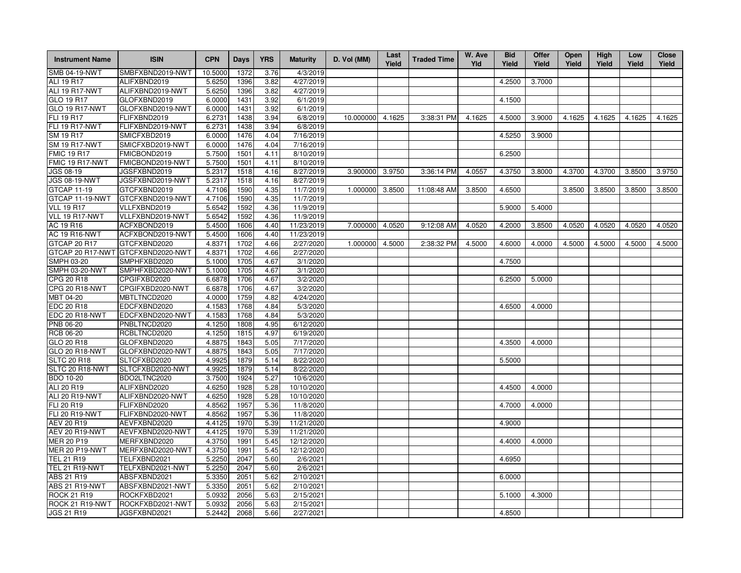| <b>Instrument Name</b>              | <b>ISIN</b>                       | <b>CPN</b>       | Days         | <b>YRS</b>   | <b>Maturity</b>        | D. Vol (MM) | Last<br>Yield | <b>Traded Time</b> | W. Ave<br>Yld | <b>Bid</b><br>Yield | <b>Offer</b><br>Yield | <b>Open</b><br>Yield | <b>High</b><br>Yield | Low<br>Yield | <b>Close</b><br>Yield |
|-------------------------------------|-----------------------------------|------------------|--------------|--------------|------------------------|-------------|---------------|--------------------|---------------|---------------------|-----------------------|----------------------|----------------------|--------------|-----------------------|
| <b>SMB 04-19-NWT</b>                | SMBFXBND2019-NWT                  | 10.5000          | 1372         | 3.76         | 4/3/2019               |             |               |                    |               |                     |                       |                      |                      |              |                       |
| ALI 19 R17                          | ALIFXBND2019                      | 5.6250           | 1396         | 3.82         | 4/27/2019              |             |               |                    |               | 4.2500              | 3.7000                |                      |                      |              |                       |
| ALI 19 R17-NWT                      | ALIFXBND2019-NWT                  | 5.6250           | 1396         | 3.82         | 4/27/2019              |             |               |                    |               |                     |                       |                      |                      |              |                       |
| GLO 19 R17                          | GLOFXBND2019                      | 6.0000           | 1431         | 3.92         | 6/1/2019               |             |               |                    |               | 4.1500              |                       |                      |                      |              |                       |
| <b>GLO 19 R17-NWT</b>               | GLOFXBND2019-NWT                  | 6.0000           | 1431         | 3.92         | 6/1/2019               |             |               |                    |               |                     |                       |                      |                      |              |                       |
| FLI 19 R17                          | FLIFXBND2019                      | 6.2731           | 1438         | 3.94         | 6/8/2019               | 10.000000   | 4.1625        | 3:38:31 PM         | 4.1625        | 4.5000              | 3.9000                | 4.1625               | 4.1625               | 4.1625       | 4.1625                |
| FLI 19 R17-NWT                      | FLIFXBND2019-NWT                  | 6.2731           | 1438         | 3.94         | 6/8/2019               |             |               |                    |               |                     |                       |                      |                      |              |                       |
| SM 19 R17                           | SMICFXBD2019                      | 6.0000           | 1476         | 4.04         | 7/16/2019              |             |               |                    |               | 4.5250              | 3.9000                |                      |                      |              |                       |
| <b>SM 19 R17-NWT</b>                | SMICFXBD2019-NWT                  | 6.0000           | 1476         | 4.04         | 7/16/2019              |             |               |                    |               |                     |                       |                      |                      |              |                       |
| <b>FMIC 19 R17</b>                  | FMICBOND2019                      | 5.7500           | 1501         | 4.11         | 8/10/2019              |             |               |                    |               | 6.2500              |                       |                      |                      |              |                       |
| FMIC 19 R17-NWT                     | FMICBOND2019-NWT                  | 5.7500           | 1501         | 4.11         | 8/10/2019              |             |               |                    |               |                     |                       |                      |                      |              |                       |
| JGS 08-19                           | JGSFXBND2019                      | 5.2317           | 1518         | 4.16         | 8/27/2019              | 3.900000    | 3.9750        | 3:36:14 PM         | 4.0557        | 4.3750              | 3.8000                | 4.3700               | 4.3700               | 3.8500       | 3.9750                |
| <b>JGS 08-19-NWT</b>                | JGSFXBND2019-NWT                  | 5.2317           | 1518         | 4.16         | 8/27/2019              |             |               |                    |               |                     |                       |                      |                      |              |                       |
| <b>GTCAP 11-19</b>                  | GTCFXBND2019                      | 4.7106           | 1590         | 4.35         | 11/7/2019              | 1.000000    | 3.8500        | 11:08:48 AM        | 3.8500        | 4.6500              |                       | 3.8500               | 3.8500               | 3.8500       | 3.8500                |
| GTCAP 11-19-NWT                     | GTCFXBND2019-NWT                  | 4.7106           | 1590         | 4.35         | 11/7/2019              |             |               |                    |               |                     |                       |                      |                      |              |                       |
| <b>VLL 19 R17</b>                   | VLLFXBND2019                      | 5.6542           | 1592         | 4.36         | 11/9/2019              |             |               |                    |               | 5.9000              | 5.4000                |                      |                      |              |                       |
| VLL 19 R17-NWT                      | VLLFXBND2019-NWT                  | 5.6542           | 1592         | 4.36         | 11/9/2019              |             |               |                    |               |                     |                       |                      |                      |              |                       |
| AC 19 R16                           | ACFXBOND2019                      | 5.4500           | 1606         | 4.40         | 11/23/2019             | 7.000000    | 4.0520        | 9:12:08 AM         | 4.0520        | 4.2000              | 3.8500                | 4.0520               | 4.0520               | 4.0520       | 4.0520                |
| <b>AC 19 R16-NWT</b>                | ACFXBOND2019-NWT                  | 5.4500           | 1606         | 4.40         | 11/23/2019             |             |               |                    |               |                     |                       |                      |                      |              |                       |
| GTCAP 20 R17                        | GTCFXBND2020                      | 4.8371           | 1702         | 4.66         | 2/27/2020              | 1.000000    | 4.5000        | 2:38:32 PM         | 4.5000        | 4.6000              | 4.0000                | 4.5000               | 4.5000               | 4.5000       | 4.5000                |
|                                     | GTCAP 20 R17-NWT GTCFXBND2020-NWT | 4.8371           | 1702         | 4.66         | 2/27/2020              |             |               |                    |               |                     |                       |                      |                      |              |                       |
| SMPH 03-20                          | SMPHFXBD2020                      | 5.1000           | 1705         | 4.67         | 3/1/2020               |             |               |                    |               | 4.7500              |                       |                      |                      |              |                       |
| <b>SMPH 03-20-NWT</b>               | SMPHFXBD2020-NWT                  | 5.1000           | 1705         | 4.67         | 3/1/2020               |             |               |                    |               |                     |                       |                      |                      |              |                       |
| CPG 20 R18                          | CPGIFXBD2020                      | 6.6878           | 1706         | 4.67         | 3/2/2020               |             |               |                    |               | 6.2500              | 5.0000                |                      |                      |              |                       |
| <b>CPG 20 R18-NWT</b>               | CPGIFXBD2020-NWT                  | 6.6878           | 1706         | 4.67         | 3/2/2020               |             |               |                    |               |                     |                       |                      |                      |              |                       |
| MBT 04-20                           | MBTLTNCD2020                      | 4.0000           | 1759         | 4.82         | 4/24/2020              |             |               |                    |               |                     |                       |                      |                      |              |                       |
| EDC 20 R18                          | EDCFXBND2020                      | 4.1583           | 1768         | 4.84         | 5/3/2020               |             |               |                    |               | 4.6500              | 4.0000                |                      |                      |              |                       |
| EDC 20 R18-NWT                      | EDCFXBND2020-NWT                  | 4.1583           | 1768         | 4.84         | 5/3/2020               |             |               |                    |               |                     |                       |                      |                      |              |                       |
| PNB 06-20                           | PNBLTNCD2020                      | 4.1250           | 1808         | 4.95         | 6/12/2020              |             |               |                    |               |                     |                       |                      |                      |              |                       |
| <b>RCB 06-20</b>                    | RCBLTNCD2020                      | 4.1250           | 1815         | 4.97         | 6/19/2020              |             |               |                    |               |                     |                       |                      |                      |              |                       |
| GLO 20 R18                          | GLOFXBND2020                      | 4.8875           | 1843         | 5.05         | 7/17/2020              |             |               |                    |               | 4.3500              | 4.0000                |                      |                      |              |                       |
| <b>GLO 20 R18-NWT</b>               | GLOFXBND2020-NWT                  | 4.8875           | 1843         | 5.05         | 7/17/2020              |             |               |                    |               |                     |                       |                      |                      |              |                       |
| <b>SLTC 20 R18</b>                  | SLTCFXBD2020                      | 4.9925           | 1879         | 5.14         | 8/22/2020              |             |               |                    |               | 5.5000              |                       |                      |                      |              |                       |
| SLTC 20 R18-NWT<br><b>BDO 10-20</b> | SLTCFXBD2020-NWT<br>BDO2LTNC2020  | 4.9925<br>3.7500 | 1879<br>1924 | 5.14<br>5.27 | 8/22/2020<br>10/6/2020 |             |               |                    |               |                     |                       |                      |                      |              |                       |
| ALI 20 R19                          | ALIFXBND2020                      | 4.6250           | 1928         | 5.28         | 10/10/2020             |             |               |                    |               | 4.4500              |                       |                      |                      |              |                       |
| <b>ALI 20 R19-NWT</b>               |                                   |                  | 1928         | 5.28         | 10/10/2020             |             |               |                    |               |                     | 4.0000                |                      |                      |              |                       |
| FLI 20 R19                          | ALIFXBND2020-NWT<br>FLIFXBND2020  | 4.6250<br>4.8562 | 1957         | 5.36         | 11/8/2020              |             |               |                    |               | 4.7000              | 4.0000                |                      |                      |              |                       |
| <b>FLI 20 R19-NWT</b>               | FLIFXBND2020-NWT                  | 4.8562           | 1957         | 5.36         | 11/8/2020              |             |               |                    |               |                     |                       |                      |                      |              |                       |
| AEV 20 R19                          | AEVFXBND2020                      | 4.4125           | 1970         | 5.39         | 11/21/2020             |             |               |                    |               | 4.9000              |                       |                      |                      |              |                       |
| AEV 20 R19-NWT                      | AEVFXBND2020-NWT                  | 4.4125           | 1970         | 5.39         | 11/21/2020             |             |               |                    |               |                     |                       |                      |                      |              |                       |
| MER 20 P19                          | MERFXBND2020                      | 4.3750           | 1991         | 5.45         | 12/12/2020             |             |               |                    |               | 4.4000              | 4.0000                |                      |                      |              |                       |
| <b>MER 20 P19-NWT</b>               | MERFXBND2020-NWT                  | 4.3750           | 1991         | 5.45         | 12/12/2020             |             |               |                    |               |                     |                       |                      |                      |              |                       |
| <b>TEL 21 R19</b>                   | TELFXBND2021                      | 5.2250           | 2047         | 5.60         | 2/6/2021               |             |               |                    |               | 4.6950              |                       |                      |                      |              |                       |
| <b>TEL 21 R19-NWT</b>               | TELFXBND2021-NWT                  | 5.2250           | 2047         | 5.60         | 2/6/2021               |             |               |                    |               |                     |                       |                      |                      |              |                       |
| ABS 21 R19                          | ABSFXBND2021                      | 5.3350           | 2051         | 5.62         | 2/10/2021              |             |               |                    |               | 6.0000              |                       |                      |                      |              |                       |
| ABS 21 R19-NWT                      | ABSFXBND2021-NWT                  | 5.3350           | 2051         | 5.62         | 2/10/2021              |             |               |                    |               |                     |                       |                      |                      |              |                       |
| <b>ROCK 21 R19</b>                  | ROCKFXBD2021                      | 5.0932           | 2056         | 5.63         | 2/15/2021              |             |               |                    |               | 5.1000              | 4.3000                |                      |                      |              |                       |
| ROCK 21 R19-NWT                     | ROCKFXBD2021-NWT                  | 5.0932           | 2056         | 5.63         | 2/15/2021              |             |               |                    |               |                     |                       |                      |                      |              |                       |
| <b>JGS 21 R19</b>                   | JGSFXBND2021                      | 5.2442           | 2068         | 5.66         | 2/27/2021              |             |               |                    |               | 4.8500              |                       |                      |                      |              |                       |
|                                     |                                   |                  |              |              |                        |             |               |                    |               |                     |                       |                      |                      |              |                       |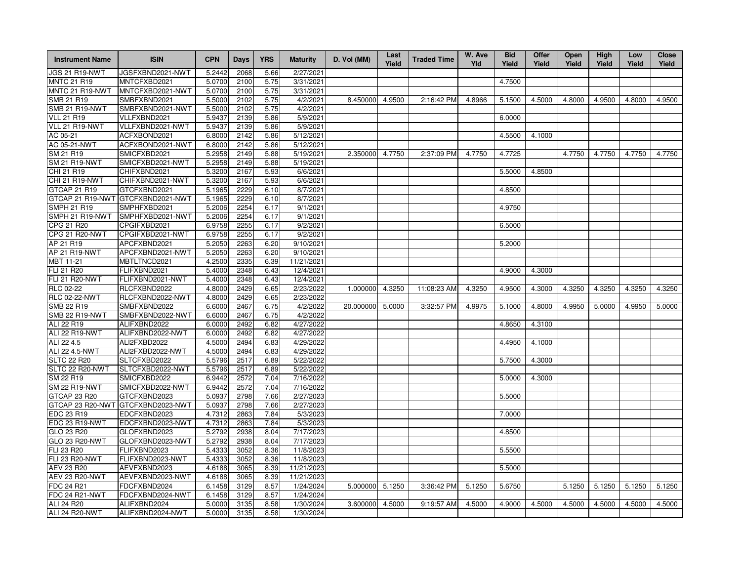| <b>Instrument Name</b> | <b>ISIN</b>      | <b>CPN</b> | Days | <b>YRS</b> | <b>Maturity</b> | D. Vol (MM) | Last<br>Yield | <b>Traded Time</b> | W. Ave<br>Yld | <b>Bid</b><br>Yield | Offer<br>Yield | Open<br>Yield | High<br>Yield | Low<br>Yield | <b>Close</b><br>Yield |
|------------------------|------------------|------------|------|------------|-----------------|-------------|---------------|--------------------|---------------|---------------------|----------------|---------------|---------------|--------------|-----------------------|
| JGS 21 R19-NWT         | JGSFXBND2021-NWT | 5.2442     | 2068 | 5.66       | 2/27/2021       |             |               |                    |               |                     |                |               |               |              |                       |
| <b>MNTC 21 R19</b>     | MNTCFXBD2021     | 5.0700     | 2100 | 5.75       | 3/31/2021       |             |               |                    |               | 4.7500              |                |               |               |              |                       |
| MNTC 21 R19-NWT        | MNTCFXBD2021-NWT | 5.0700     | 2100 | 5.75       | 3/31/2021       |             |               |                    |               |                     |                |               |               |              |                       |
| SMB 21 R19             | SMBFXBND2021     | 5.5000     | 2102 | 5.75       | 4/2/2021        | 8.450000    | 4.9500        | 2:16:42 PM         | 4.8966        | 5.1500              | 4.5000         | 4.8000        | 4.9500        | 4.8000       | 4.9500                |
| <b>SMB 21 R19-NWT</b>  | SMBFXBND2021-NWT | 5.5000     | 2102 | 5.75       | 4/2/2021        |             |               |                    |               |                     |                |               |               |              |                       |
| <b>VLL 21 R19</b>      | VLLFXBND2021     | 5.9437     | 2139 | 5.86       | 5/9/2021        |             |               |                    |               | 6.0000              |                |               |               |              |                       |
| VLL 21 R19-NWT         | VLLFXBND2021-NWT | 5.9437     | 2139 | 5.86       | 5/9/2021        |             |               |                    |               |                     |                |               |               |              |                       |
| AC 05-21               | ACFXBOND2021     | 6.8000     | 2142 | 5.86       | 5/12/2021       |             |               |                    |               | 4.5500              | 4.1000         |               |               |              |                       |
| AC 05-21-NWT           | ACFXBOND2021-NWT | 6.8000     | 2142 | 5.86       | 5/12/2021       |             |               |                    |               |                     |                |               |               |              |                       |
| SM 21 R19              | SMICFXBD2021     | 5.2958     | 2149 | 5.88       | 5/19/2021       | 2.350000    | 4.7750        | 2:37:09 PM         | 4.7750        | 4.7725              |                | 4.7750        | 4.7750        | 4.7750       | 4.7750                |
| <b>SM 21 R19-NWT</b>   | SMICFXBD2021-NWT | 5.2958     | 2149 | 5.88       | 5/19/2021       |             |               |                    |               |                     |                |               |               |              |                       |
| CHI 21 R19             | CHIFXBND2021     | 5.3200     | 2167 | 5.93       | 6/6/2021        |             |               |                    |               | 5.5000              | 4.8500         |               |               |              |                       |
| CHI 21 R19-NWT         | CHIFXBND2021-NWT | 5.3200     | 2167 | 5.93       | 6/6/2021        |             |               |                    |               |                     |                |               |               |              |                       |
| GTCAP 21 R19           | GTCFXBND2021     | 5.1965     | 2229 | 6.10       | 8/7/2021        |             |               |                    |               | 4.8500              |                |               |               |              |                       |
| GTCAP 21 R19-NWT       | GTCFXBND2021-NWT | 5.1965     | 2229 | 6.10       | 8/7/2021        |             |               |                    |               |                     |                |               |               |              |                       |
| <b>SMPH 21 R19</b>     | SMPHFXBD2021     | 5.2006     | 2254 | 6.17       | 9/1/2021        |             |               |                    |               | 4.9750              |                |               |               |              |                       |
| SMPH 21 R19-NWT        | SMPHFXBD2021-NWT | 5.2006     | 2254 | 6.17       | 9/1/2021        |             |               |                    |               |                     |                |               |               |              |                       |
| CPG 21 R20             | CPGIFXBD2021     | 6.9758     | 2255 | 6.17       | 9/2/2021        |             |               |                    |               | 6.5000              |                |               |               |              |                       |
| CPG 21 R20-NWT         | CPGIFXBD2021-NWT | 6.9758     | 2255 | 6.17       | 9/2/2021        |             |               |                    |               |                     |                |               |               |              |                       |
| AP 21 R19              | APCFXBND2021     | 5.2050     | 2263 | 6.20       | 9/10/2021       |             |               |                    |               | 5.2000              |                |               |               |              |                       |
| AP 21 R19-NWT          | APCFXBND2021-NWT | 5.2050     | 2263 | 6.20       | 9/10/2021       |             |               |                    |               |                     |                |               |               |              |                       |
| MBT 11-21              | MBTLTNCD2021     | 4.2500     | 2335 | 6.39       | 11/21/2021      |             |               |                    |               |                     |                |               |               |              |                       |
| FLI 21 R20             | FLIFXBND2021     | 5.4000     | 2348 | 6.43       | 12/4/2021       |             |               |                    |               | 4.9000              | 4.3000         |               |               |              |                       |
| <b>FLI 21 R20-NWT</b>  | FLIFXBND2021-NWT | 5.4000     | 2348 | 6.43       | 12/4/2021       |             |               |                    |               |                     |                |               |               |              |                       |
| RLC 02-22              | RLCFXBND2022     | 4.8000     | 2429 | 6.65       | 2/23/2022       | 1.000000    | 4.3250        | 11:08:23 AM        | 4.3250        | 4.9500              | 4.3000         | 4.3250        | 4.3250        | 4.3250       | 4.3250                |
| <b>RLC 02-22-NWT</b>   | RLCFXBND2022-NWT | 4.8000     | 2429 | 6.65       | 2/23/2022       |             |               |                    |               |                     |                |               |               |              |                       |
| <b>SMB 22 R19</b>      | SMBFXBND2022     | 6.6000     | 2467 | 6.75       | 4/2/2022        | 20.000000   | 5.0000        | 3:32:57 PM         | 4.9975        | 5.1000              | 4.8000         | 4.9950        | 5.0000        | 4.9950       | 5.0000                |
| <b>SMB 22 R19-NWT</b>  | SMBFXBND2022-NWT | 6.6000     | 2467 | 6.75       | 4/2/2022        |             |               |                    |               |                     |                |               |               |              |                       |
| ALI 22 R19             | ALIFXBND2022     | 6.0000     | 2492 | 6.82       | 4/27/2022       |             |               |                    |               | 4.8650              | 4.3100         |               |               |              |                       |
| ALI 22 R19-NWT         | ALIFXBND2022-NWT | 6.0000     | 2492 | 6.82       | 4/27/2022       |             |               |                    |               |                     |                |               |               |              |                       |
| ALI 22 4.5             | ALI2FXBD2022     | 4.5000     | 2494 | 6.83       | 4/29/2022       |             |               |                    |               | 4.4950              | 4.1000         |               |               |              |                       |
| ALI 22 4.5-NWT         | ALI2FXBD2022-NWT | 4.5000     | 2494 | 6.83       | 4/29/2022       |             |               |                    |               |                     |                |               |               |              |                       |
| <b>SLTC 22 R20</b>     | SLTCFXBD2022     | 5.5796     | 2517 | 6.89       | 5/22/2022       |             |               |                    |               | 5.7500              | 4.3000         |               |               |              |                       |
| SLTC 22 R20-NWT        | SLTCFXBD2022-NWT | 5.5796     | 2517 | 6.89       | 5/22/2022       |             |               |                    |               |                     |                |               |               |              |                       |
| SM 22 R19              | SMICFXBD2022     | 6.9442     | 2572 | 7.04       | 7/16/2022       |             |               |                    |               | 5.0000              | 4.3000         |               |               |              |                       |
| <b>SM 22 R19-NWT</b>   | SMICFXBD2022-NWT | 6.9442     | 2572 | 7.04       | 7/16/2022       |             |               |                    |               |                     |                |               |               |              |                       |
| GTCAP 23 R20           | GTCFXBND2023     | 5.0937     | 2798 | 7.66       | 2/27/2023       |             |               |                    |               | 5.5000              |                |               |               |              |                       |
| GTCAP 23 R20-NWT       | GTCFXBND2023-NWT | 5.0937     | 2798 | 7.66       | 2/27/2023       |             |               |                    |               |                     |                |               |               |              |                       |
| EDC 23 R19             | EDCFXBND2023     | 4.7312     | 2863 | 7.84       | 5/3/2023        |             |               |                    |               | 7.0000              |                |               |               |              |                       |
| EDC 23 R19-NWT         | EDCFXBND2023-NWT | 4.7312     | 2863 | 7.84       | 5/3/2023        |             |               |                    |               |                     |                |               |               |              |                       |
| GLO 23 R20             | GLOFXBND2023     | 5.2792     | 2938 | 8.04       | 7/17/2023       |             |               |                    |               | 4.8500              |                |               |               |              |                       |
| GLO 23 R20-NWT         | GLOFXBND2023-NWT | 5.2792     | 2938 | 8.04       | 7/17/2023       |             |               |                    |               |                     |                |               |               |              |                       |
| FLI 23 R20             | FLIFXBND2023     | 5.4333     | 3052 | 8.36       | 11/8/2023       |             |               |                    |               | 5.5500              |                |               |               |              |                       |
| <b>FLI 23 R20-NWT</b>  | FLIFXBND2023-NWT | 5.4333     | 3052 | 8.36       | 11/8/2023       |             |               |                    |               |                     |                |               |               |              |                       |
| AEV 23 R20             | AEVFXBND2023     | 4.6188     | 3065 | 8.39       | 11/21/2023      |             |               |                    |               | 5.5000              |                |               |               |              |                       |
| <b>AEV 23 R20-NWT</b>  | AEVFXBND2023-NWT | 4.6188     | 3065 | 8.39       | 11/21/2023      |             |               |                    |               |                     |                |               |               |              |                       |
| FDC 24 R21             | FDCFXBND2024     | 6.1458     | 3129 | 8.57       | 1/24/2024       | 5.000000    | 5.1250        | 3:36:42 PM         | 5.1250        | 5.6750              |                | 5.1250        | 5.1250        | 5.1250       | 5.1250                |
| FDC 24 R21-NWT         | FDCFXBND2024-NWT | 6.1458     | 3129 | 8.57       | 1/24/2024       |             |               |                    |               |                     |                |               |               |              |                       |
| ALI 24 R20             | ALIFXBND2024     | 5.0000     | 3135 | 8.58       | 1/30/2024       | 3.600000    | 4.5000        | 9:19:57 AM         | 4.5000        | 4.9000              | 4.5000         | 4.5000        | 4.5000        | 4.5000       | 4.5000                |
| <b>ALI 24 R20-NWT</b>  | ALIFXBND2024-NWT | 5.0000     | 3135 | 8.58       | 1/30/2024       |             |               |                    |               |                     |                |               |               |              |                       |